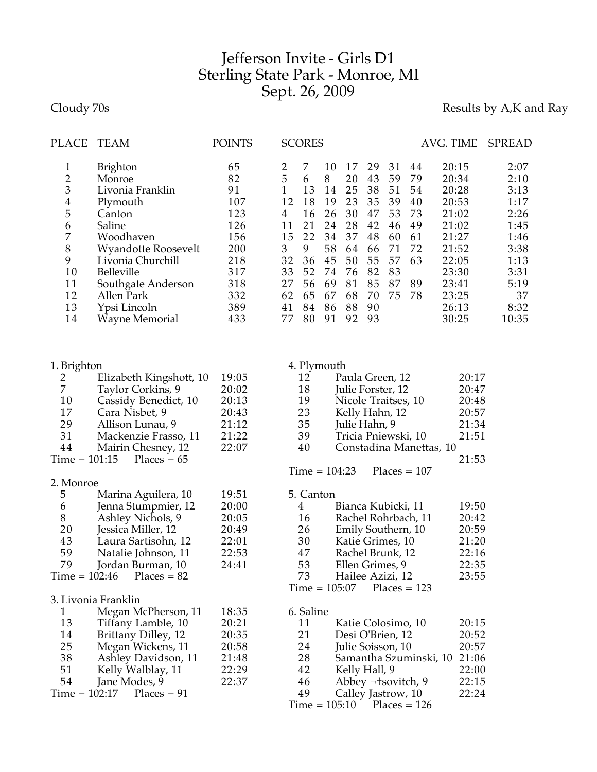## Jefferson Invite - Girls D1 Sterling State Park - Monroe, MI Sept. 26, 2009

Cloudy 70s **Results by A,K and Ray** 

| <b>PLACE</b>                                                                                                                             | <b>TEAM</b>                                                                                                                                                                                                                              | <b>POINTS</b>                                                                               |                                                                                                                  | <b>SCORES</b>                                                                 |                                                                                 |                                                                                  |                                                                                  |                                                                      |                                                                | AVG. TIME                    |                                                                                                                            | SPREAD                                                                                                      |
|------------------------------------------------------------------------------------------------------------------------------------------|------------------------------------------------------------------------------------------------------------------------------------------------------------------------------------------------------------------------------------------|---------------------------------------------------------------------------------------------|------------------------------------------------------------------------------------------------------------------|-------------------------------------------------------------------------------|---------------------------------------------------------------------------------|----------------------------------------------------------------------------------|----------------------------------------------------------------------------------|----------------------------------------------------------------------|----------------------------------------------------------------|------------------------------|----------------------------------------------------------------------------------------------------------------------------|-------------------------------------------------------------------------------------------------------------|
| $\mathbf{1}$<br>$\overline{c}$<br>3<br>$\overline{\mathbf{4}}$<br>5<br>6<br>$\boldsymbol{7}$<br>$8\,$<br>9<br>10<br>11<br>12<br>13<br>14 | <b>Brighton</b><br>Monroe<br>Livonia Franklin<br>Plymouth<br>Canton<br>Saline<br>Woodhaven<br><b>Wyandotte Roosevelt</b><br>Livonia Churchill<br>Belleville<br>Southgate Anderson<br>Allen Park<br>Ypsi Lincoln<br><b>Wayne Memorial</b> | 65<br>82<br>91<br>107<br>123<br>126<br>156<br>200<br>218<br>317<br>318<br>332<br>389<br>433 | $\overline{2}$<br>5<br>$\mathbf{1}$<br>12<br>$\overline{4}$<br>11<br>15<br>3<br>32<br>33<br>27<br>62<br>41<br>77 | 7<br>6<br>13<br>18<br>16<br>21<br>22<br>9<br>36<br>52<br>56<br>65<br>84<br>80 | 10<br>8<br>14<br>19<br>26<br>24<br>34<br>58<br>45<br>74<br>69<br>67<br>86<br>91 | 17<br>20<br>25<br>23<br>30<br>28<br>37<br>64<br>50<br>76<br>81<br>68<br>88<br>92 | 29<br>43<br>38<br>35<br>47<br>42<br>48<br>66<br>55<br>82<br>85<br>70<br>90<br>93 | 31<br>59<br>51<br>39<br>53<br>46<br>60<br>71<br>57<br>83<br>87<br>75 | 44<br>79<br>54<br>40<br>73<br>49<br>61<br>72<br>63<br>89<br>78 |                              | 20:15<br>20:34<br>20:28<br>20:53<br>21:02<br>21:02<br>21:27<br>21:52<br>22:05<br>23:30<br>23:41<br>23:25<br>26:13<br>30:25 | 2:07<br>2:10<br>3:13<br>1:17<br>2:26<br>1:45<br>1:46<br>3:38<br>1:13<br>3:31<br>5:19<br>37<br>8:32<br>10:35 |
| 1. Brighton<br>2                                                                                                                         | Elizabeth Kingshott, 10                                                                                                                                                                                                                  | 19:05                                                                                       |                                                                                                                  | 12                                                                            | 4. Plymouth                                                                     | Paula Green, 12                                                                  |                                                                                  |                                                                      |                                                                |                              | 20:17                                                                                                                      |                                                                                                             |
| $\boldsymbol{7}$                                                                                                                         | Taylor Corkins, 9                                                                                                                                                                                                                        | 20:02                                                                                       |                                                                                                                  | 18                                                                            |                                                                                 | Julie Forster, 12                                                                |                                                                                  |                                                                      |                                                                |                              | 20:47                                                                                                                      |                                                                                                             |
| 10                                                                                                                                       | Cassidy Benedict, 10                                                                                                                                                                                                                     | 20:13                                                                                       |                                                                                                                  | 19                                                                            |                                                                                 | Nicole Traitses, 10                                                              |                                                                                  |                                                                      |                                                                |                              | 20:48                                                                                                                      |                                                                                                             |
| 17                                                                                                                                       | Cara Nisbet, 9                                                                                                                                                                                                                           | 20:43                                                                                       |                                                                                                                  | 23                                                                            |                                                                                 | Kelly Hahn, 12                                                                   |                                                                                  |                                                                      |                                                                |                              | 20:57                                                                                                                      |                                                                                                             |
| 29                                                                                                                                       | Allison Lunau, 9                                                                                                                                                                                                                         | 21:12                                                                                       |                                                                                                                  | 35                                                                            |                                                                                 | Julie Hahn, 9                                                                    |                                                                                  |                                                                      |                                                                |                              | 21:34                                                                                                                      |                                                                                                             |
| 31                                                                                                                                       | Mackenzie Frasso, 11                                                                                                                                                                                                                     | 21:22                                                                                       |                                                                                                                  | 39                                                                            |                                                                                 | Tricia Pniewski, 10                                                              |                                                                                  |                                                                      |                                                                |                              | 21:51                                                                                                                      |                                                                                                             |
| 44                                                                                                                                       | Mairin Chesney, 12                                                                                                                                                                                                                       | 22:07                                                                                       |                                                                                                                  | 40                                                                            |                                                                                 |                                                                                  |                                                                                  |                                                                      |                                                                | Constadina Manettas, 10      |                                                                                                                            |                                                                                                             |
| $Time = 101:15$                                                                                                                          | Places = $65$                                                                                                                                                                                                                            |                                                                                             |                                                                                                                  |                                                                               |                                                                                 |                                                                                  |                                                                                  |                                                                      |                                                                |                              | 21:53                                                                                                                      |                                                                                                             |
|                                                                                                                                          |                                                                                                                                                                                                                                          |                                                                                             |                                                                                                                  |                                                                               | $Time = 104:23$                                                                 |                                                                                  |                                                                                  | $Places = 107$                                                       |                                                                |                              |                                                                                                                            |                                                                                                             |
| 2. Monroe                                                                                                                                |                                                                                                                                                                                                                                          |                                                                                             |                                                                                                                  |                                                                               |                                                                                 |                                                                                  |                                                                                  |                                                                      |                                                                |                              |                                                                                                                            |                                                                                                             |
| 5                                                                                                                                        | Marina Aguilera, 10                                                                                                                                                                                                                      | 19:51                                                                                       |                                                                                                                  | 5. Canton                                                                     |                                                                                 |                                                                                  |                                                                                  |                                                                      |                                                                |                              |                                                                                                                            |                                                                                                             |
| 6                                                                                                                                        | Jenna Stumpmier, 12                                                                                                                                                                                                                      | 20:00                                                                                       |                                                                                                                  | 4                                                                             |                                                                                 | Bianca Kubicki, 11                                                               |                                                                                  |                                                                      |                                                                |                              | 19:50                                                                                                                      |                                                                                                             |
| $8\,$                                                                                                                                    | Ashley Nichols, 9                                                                                                                                                                                                                        | 20:05                                                                                       |                                                                                                                  | 16                                                                            |                                                                                 | Rachel Rohrbach, 11                                                              |                                                                                  |                                                                      |                                                                |                              | 20:42                                                                                                                      |                                                                                                             |
| 20<br>43                                                                                                                                 | Jessica Miller, 12<br>Laura Sartisohn, 12                                                                                                                                                                                                | 20:49<br>22:01                                                                              |                                                                                                                  | 26<br>30                                                                      |                                                                                 | Emily Southern, 10<br>Katie Grimes, 10                                           |                                                                                  |                                                                      |                                                                |                              | 20:59<br>21:20                                                                                                             |                                                                                                             |
| 59                                                                                                                                       | Natalie Johnson, 11                                                                                                                                                                                                                      | 22:53                                                                                       |                                                                                                                  | 47                                                                            |                                                                                 | Rachel Brunk, 12                                                                 |                                                                                  |                                                                      |                                                                |                              | 22:16                                                                                                                      |                                                                                                             |
| 79                                                                                                                                       | Jordan Burman, 10                                                                                                                                                                                                                        | 24:41                                                                                       |                                                                                                                  | 53                                                                            |                                                                                 | Ellen Grimes, 9                                                                  |                                                                                  |                                                                      |                                                                |                              | 22:35                                                                                                                      |                                                                                                             |
| $Time = 102:46$                                                                                                                          | $Places = 82$                                                                                                                                                                                                                            |                                                                                             |                                                                                                                  | 73                                                                            |                                                                                 | Hailee Azizi, 12                                                                 |                                                                                  |                                                                      |                                                                |                              | 23:55                                                                                                                      |                                                                                                             |
|                                                                                                                                          |                                                                                                                                                                                                                                          |                                                                                             |                                                                                                                  |                                                                               | $Time = 105:07$                                                                 |                                                                                  |                                                                                  | $Places = 123$                                                       |                                                                |                              |                                                                                                                            |                                                                                                             |
|                                                                                                                                          | 3. Livonia Franklin                                                                                                                                                                                                                      |                                                                                             |                                                                                                                  |                                                                               |                                                                                 |                                                                                  |                                                                                  |                                                                      |                                                                |                              |                                                                                                                            |                                                                                                             |
| $\mathbf{1}$                                                                                                                             | Megan McPherson, 11                                                                                                                                                                                                                      | 18:35                                                                                       |                                                                                                                  | 6. Saline                                                                     |                                                                                 |                                                                                  |                                                                                  |                                                                      |                                                                |                              |                                                                                                                            |                                                                                                             |
| 13                                                                                                                                       | Tiffany Lamble, 10                                                                                                                                                                                                                       | 20:21                                                                                       |                                                                                                                  | 11                                                                            |                                                                                 | Katie Colosimo, 10                                                               |                                                                                  |                                                                      |                                                                |                              | 20:15                                                                                                                      |                                                                                                             |
| 14                                                                                                                                       | Brittany Dilley, 12                                                                                                                                                                                                                      | 20:35                                                                                       |                                                                                                                  | 21                                                                            |                                                                                 | Desi O'Brien, 12                                                                 |                                                                                  |                                                                      |                                                                |                              | 20:52                                                                                                                      |                                                                                                             |
| 25                                                                                                                                       | Megan Wickens, 11                                                                                                                                                                                                                        | 20:58                                                                                       |                                                                                                                  | 24                                                                            |                                                                                 | Julie Soisson, 10                                                                |                                                                                  |                                                                      |                                                                |                              | 20:57                                                                                                                      |                                                                                                             |
| 38                                                                                                                                       | Ashley Davidson, 11                                                                                                                                                                                                                      | 21:48                                                                                       |                                                                                                                  | 28                                                                            |                                                                                 |                                                                                  |                                                                                  |                                                                      |                                                                | Samantha Szuminski, 10 21:06 |                                                                                                                            |                                                                                                             |
| 51                                                                                                                                       | Kelly Walblay, 11                                                                                                                                                                                                                        | 22:29                                                                                       |                                                                                                                  | 42                                                                            |                                                                                 | Kelly Hall, 9                                                                    |                                                                                  |                                                                      |                                                                |                              | 22:00                                                                                                                      |                                                                                                             |
| 54                                                                                                                                       | Jane Modes, 9                                                                                                                                                                                                                            | 22:37                                                                                       |                                                                                                                  | 46                                                                            |                                                                                 | Abbey ¬tsovitch, 9                                                               |                                                                                  |                                                                      |                                                                |                              | 22:15                                                                                                                      |                                                                                                             |
| $Time = 102:17$                                                                                                                          | $Places = 91$                                                                                                                                                                                                                            |                                                                                             |                                                                                                                  | 49                                                                            |                                                                                 | Calley Jastrow, 10                                                               |                                                                                  |                                                                      |                                                                |                              | 22:24                                                                                                                      |                                                                                                             |
|                                                                                                                                          |                                                                                                                                                                                                                                          |                                                                                             |                                                                                                                  |                                                                               | $Time = 105:10$                                                                 |                                                                                  |                                                                                  | $Places = 126$                                                       |                                                                |                              |                                                                                                                            |                                                                                                             |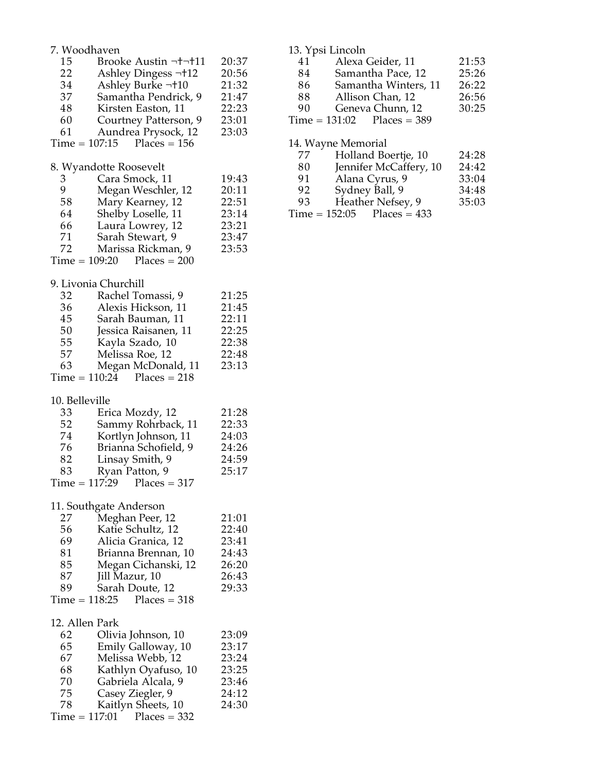|                 | 7. Woodhaven                                        |                |  |  |  |  |
|-----------------|-----------------------------------------------------|----------------|--|--|--|--|
| 15<br>22        | Brooke Austin   11<br>Ashley Dingess -+12           | 20:37<br>20:56 |  |  |  |  |
| 34              | Ashley Burke  10                                    | 21:32          |  |  |  |  |
| 37              | Samantha Pendrick, 9                                | 21:47          |  |  |  |  |
| 48              | Kirsten Easton, 11                                  | 22:23          |  |  |  |  |
| 60              | Courtney Patterson, 9                               | 23:01          |  |  |  |  |
| 61              | Aundrea Prysock, 12<br>$Time = 107:15$ Places = 156 | 23:03          |  |  |  |  |
|                 |                                                     |                |  |  |  |  |
|                 | 8. Wyandotte Roosevelt                              |                |  |  |  |  |
| 3 <sup>1</sup>  | Cara Smock, 11                                      | 19:43          |  |  |  |  |
| 9               | Megan Weschler, 12                                  | 20:11          |  |  |  |  |
| 58              | Mary Kearney, 12                                    | 22:51          |  |  |  |  |
| 64              | Shelby Loselle, 11<br>Laura Lowrey, 12              | 23:14          |  |  |  |  |
| 66<br>71        | Sarah Stewart, 9                                    | 23:21<br>23:47 |  |  |  |  |
| 72              | Marissa Rickman, 9                                  | 23:53          |  |  |  |  |
|                 | $Time = 109:20$ Places = 200                        |                |  |  |  |  |
|                 |                                                     |                |  |  |  |  |
|                 | 9. Livonia Churchill                                |                |  |  |  |  |
| 32              | Rachel Tomassi, 9                                   | 21:25          |  |  |  |  |
| 36              | Alexis Hickson, 11                                  | 21:45          |  |  |  |  |
| 45              | Sarah Bauman, 11                                    | 22:11          |  |  |  |  |
| 50              | Jessica Raisanen, 11                                | 22:25          |  |  |  |  |
| 55              | Kayla Szado, 10                                     | 22:38          |  |  |  |  |
| 57<br>63        | Melissa Roe, 12                                     | 22:48          |  |  |  |  |
|                 | Megan McDonald, 11<br>Time = $110:24$ Places = 218  | 23:13          |  |  |  |  |
|                 |                                                     |                |  |  |  |  |
| 10. Belleville  |                                                     |                |  |  |  |  |
| 33              | Erica Mozdy, 12                                     | 21:28          |  |  |  |  |
|                 |                                                     |                |  |  |  |  |
| 52              | Sammy Rohrback, 11                                  | 22:33          |  |  |  |  |
| 74              | Kortlyn Johnson, 11                                 | 24:03          |  |  |  |  |
| 76              | Brianna Schofield, 9                                | 24:26          |  |  |  |  |
| 82              | Linsay Smith, 9                                     | 24:59          |  |  |  |  |
| 83              | Ryan Patton, 9                                      | 25:17          |  |  |  |  |
|                 | $Time = 117:29$ Places = 317                        |                |  |  |  |  |
|                 |                                                     |                |  |  |  |  |
|                 | 11. Southgate Anderson                              | 21:01          |  |  |  |  |
| 27<br>56        | Meghan Peer, 12<br>Katie Schultz, 12                | 22:40          |  |  |  |  |
| 69              | Alicia Granica, 12                                  | 23:41          |  |  |  |  |
| 81              | Brianna Brennan, 10                                 | 24:43          |  |  |  |  |
| 85              | Megan Cichanski, 12                                 | 26:20          |  |  |  |  |
| 87              | Jill Mazur, 10                                      | 26:43          |  |  |  |  |
| 89              | Sarah Doute, 12                                     | 29:33          |  |  |  |  |
| $Time = 118:25$ | $Places = 318$                                      |                |  |  |  |  |
| 12. Allen Park  |                                                     |                |  |  |  |  |
| 62              | Olivia Johnson, 10                                  | 23:09          |  |  |  |  |
| 65              | Emily Galloway, 10                                  | 23:17          |  |  |  |  |
| 67              | Melissa Webb, 12                                    | 23:24          |  |  |  |  |
| 68              | Kathlyn Oyafuso, 10                                 | 23:25          |  |  |  |  |
| 70              | Gabriela Alcala, 9                                  | 23:46          |  |  |  |  |
| 75              | Casey Ziegler, 9                                    | 24:12          |  |  |  |  |
| 78              | Kaitlyn Sheets, 10<br>$Time = 117:01$ Places = 332  | 24:30          |  |  |  |  |

|    | 13. Ypsi Lincoln             |       |
|----|------------------------------|-------|
| 41 | Alexa Geider, 11             | 21:53 |
| 84 | Samantha Pace, 12            | 25:26 |
| 86 | Samantha Winters, 11         | 26:22 |
| 88 | Allison Chan, 12             | 26:56 |
| 90 | Geneva Chunn, 12             | 30:25 |
|    | $Time = 131:02$ Places = 389 |       |

|    | 14. Wayne Memorial           |       |
|----|------------------------------|-------|
| 77 | Holland Boertje, 10          | 24:28 |
| 80 | Jennifer McCaffery, 10       | 24:42 |
| 91 | Alana Cyrus, 9               | 33:04 |
| 92 | Sydney Ball, 9               | 34:48 |
| 93 | Heather Nefsey, 9            | 35:03 |
|    | $Time = 152:05$ Places = 433 |       |
|    |                              |       |